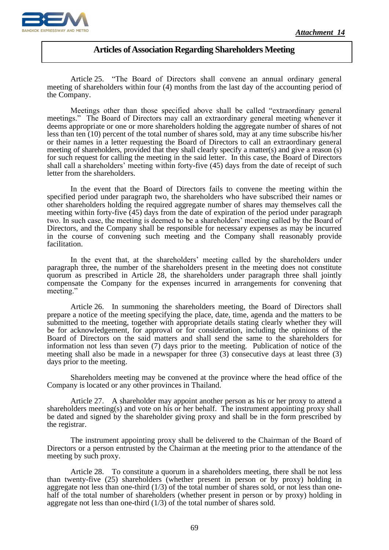

 $\overline{a}$ 

## **Articles of Association Regarding Shareholders Meeting**

Article 25. "The Board of Directors shall convene an annual ordinary general meeting of shareholders within four (4) months from the last day of the accounting period of the Company.

Meetings other than those specified above shall be called "extraordinary general meetings." The Board of Directors may call an extraordinary general meeting whenever it deems appropriate or one or more shareholders holding the aggregate number of shares of not less than ten (10) percent of the total number of shares sold, may at any time subscribe his/her or their names in a letter requesting the Board of Directors to call an extraordinary general meeting of shareholders, provided that they shall clearly specify a matter(s) and give a reason (s) for such request for calling the meeting in the said letter. In this case, the Board of Directors shall call a shareholders' meeting within forty-five (45) days from the date of receipt of such letter from the shareholders.

In the event that the Board of Directors fails to convene the meeting within the specified period under paragraph two, the shareholders who have subscribed their names or other shareholders holding the required aggregate number of shares may themselves call the meeting within forty-five (45) days from the date of expiration of the period under paragraph two. In such case, the meeting is deemed to be a shareholders' meeting called by the Board of Directors, and the Company shall be responsible for necessary expenses as may be incurred in the course of convening such meeting and the Company shall reasonably provide facilitation.

In the event that, at the shareholders' meeting called by the shareholders under paragraph three, the number of the shareholders present in the meeting does not constitute quorum as prescribed in Article 28, the shareholders under paragraph three shall jointly compensate the Company for the expenses incurred in arrangements for convening that meeting."

Article 26. In summoning the shareholders meeting, the Board of Directors shall prepare a notice of the meeting specifying the place, date, time, agenda and the matters to be submitted to the meeting, together with appropriate details stating clearly whether they will be for acknowledgement, for approval or for consideration, including the opinions of the Board of Directors on the said matters and shall send the same to the shareholders for information not less than seven (7) days prior to the meeting. Publication of notice of the meeting shall also be made in a newspaper for three (3) consecutive days at least three (3) days prior to the meeting.

Shareholders meeting may be convened at the province where the head office of the Company is located or any other provinces in Thailand.

Article 27. A shareholder may appoint another person as his or her proxy to attend a shareholders meeting(s) and vote on his or her behalf. The instrument appointing proxy shall be dated and signed by the shareholder giving proxy and shall be in the form prescribed by the registrar.

The instrument appointing proxy shall be delivered to the Chairman of the Board of Directors or a person entrusted by the Chairman at the meeting prior to the attendance of the meeting by such proxy.

Article 28. To constitute a quorum in a shareholders meeting, there shall be not less than twenty-five (25) shareholders (whether present in person or by proxy) holding in aggregate not less than one-third  $(1/3)$  of the total number of shares sold, or not less than onehalf of the total number of shareholders (whether present in person or by proxy) holding in aggregate not less than one-third (1/3) of the total number of shares sold.